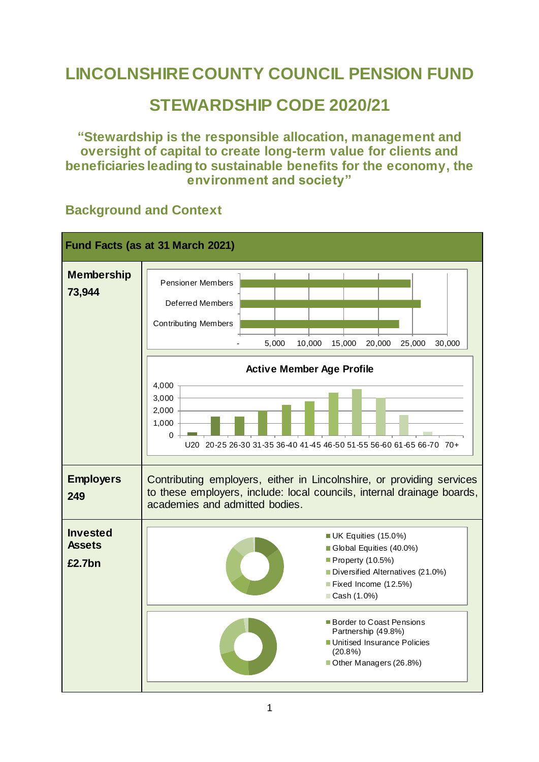# **LINCOLNSHIRE COUNTY COUNCIL PENSION FUND**

## **STEWARDSHIP CODE 2020/21**

**"Stewardship is the responsible allocation, management and oversight of capital to create long-term value for clients and beneficiaries leading to sustainable benefits for the economy, the environment and society"**



### **Background and Context**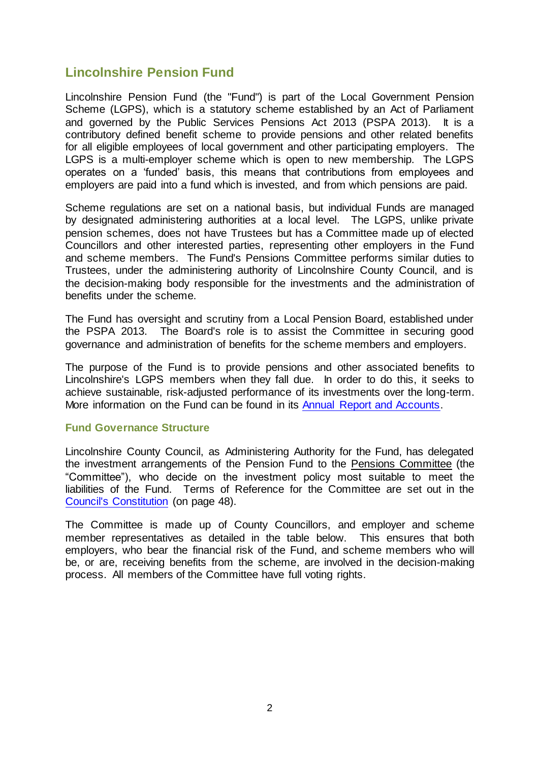### **Lincolnshire Pension Fund**

Lincolnshire Pension Fund (the "Fund") is part of the Local Government Pension Scheme (LGPS), which is a statutory scheme established by an Act of Parliament and governed by the Public Services Pensions Act 2013 (PSPA 2013). It is a contributory defined benefit scheme to provide pensions and other related benefits for all eligible employees of local government and other participating employers. The LGPS is a multi-employer scheme which is open to new membership. The LGPS operates on a 'funded' basis, this means that contributions from employees and employers are paid into a fund which is invested, and from which pensions are paid.

Scheme regulations are set on a national basis, but individual Funds are managed by designated administering authorities at a local level. The LGPS, unlike private pension schemes, does not have Trustees but has a Committee made up of elected Councillors and other interested parties, representing other employers in the Fund and scheme members. The Fund's Pensions Committee performs similar duties to Trustees, under the administering authority of Lincolnshire County Council, and is the decision-making body responsible for the investments and the administration of benefits under the scheme.

The Fund has oversight and scrutiny from a Local Pension Board, established under the PSPA 2013. The Board's role is to assist the Committee in securing good governance and administration of benefits for the scheme members and employers.

The purpose of the Fund is to provide pensions and other associated benefits to Lincolnshire's LGPS members when they fall due. In order to do this, it seeks to achieve sustainable, risk-adjusted performance of its investments over the long-term. More information on the Fund can be found in its [Annual Report and Accounts.](https://www.wypf.org.uk/publications/report-accounts/lincolnshire-pension-fund-report-and-accounts/)

#### **Fund Governance Structure**

Lincolnshire County Council, as Administering Authority for the Fund, has delegated the investment arrangements of the Pension Fund to the Pensions Committee (the "Committee"), who decide on the investment policy most suitable to meet the liabilities of the Fund. Terms of Reference for the Committee are set out in the [Council's Constitution](https://lincolnshire.moderngov.co.uk/documents/s40041/CONSTITUTION%20-%2021.05.21%20-%20Part%202%20-%20Articles%20of%20the%20Constitution.pdf) (on page 48).

The Committee is made up of County Councillors, and employer and scheme member representatives as detailed in the table below. This ensures that both employers, who bear the financial risk of the Fund, and scheme members who will be, or are, receiving benefits from the scheme, are involved in the decision-making process. All members of the Committee have full voting rights.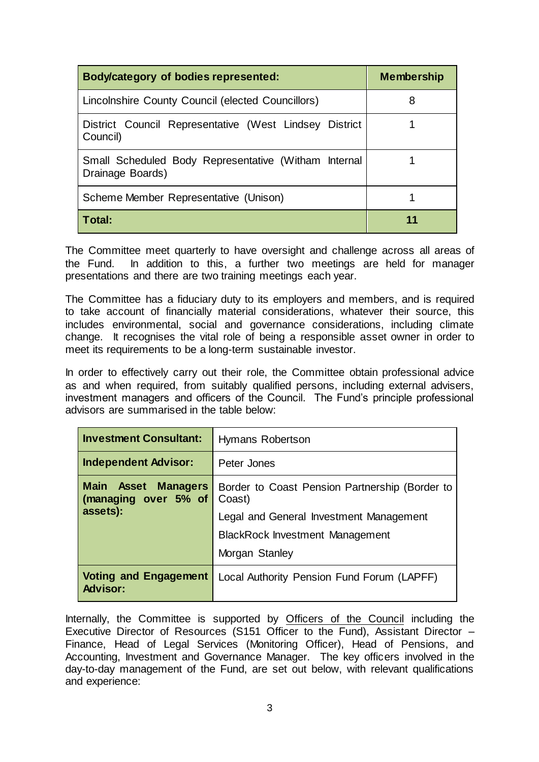| Body/category of bodies represented:                                     | <b>Membership</b> |
|--------------------------------------------------------------------------|-------------------|
| Lincolnshire County Council (elected Councillors)                        | 8                 |
| District Council Representative (West Lindsey District<br>Council)       |                   |
| Small Scheduled Body Representative (Witham Internal<br>Drainage Boards) |                   |
| Scheme Member Representative (Unison)                                    |                   |
| Total:                                                                   | 11                |

The Committee meet quarterly to have oversight and challenge across all areas of the Fund. In addition to this, a further two meetings are held for manager presentations and there are two training meetings each year.

The Committee has a fiduciary duty to its employers and members, and is required to take account of financially material considerations, whatever their source, this includes environmental, social and governance considerations, including climate change. It recognises the vital role of being a responsible asset owner in order to meet its requirements to be a long-term sustainable investor.

In order to effectively carry out their role, the Committee obtain professional advice as and when required, from suitably qualified persons, including external advisers, investment managers and officers of the Council. The Fund's principle professional advisors are summarised in the table below:

| <b>Investment Consultant:</b>                         | Hymans Robertson                                         |
|-------------------------------------------------------|----------------------------------------------------------|
| <b>Independent Advisor:</b>                           | Peter Jones                                              |
| Main Asset<br><b>Managers</b><br>(managing over 5% of | Border to Coast Pension Partnership (Border to<br>Coast) |
| assets):                                              | Legal and General Investment Management                  |
|                                                       | <b>BlackRock Investment Management</b>                   |
|                                                       | Morgan Stanley                                           |
| <b>Voting and Engagement</b><br><b>Advisor:</b>       | Local Authority Pension Fund Forum (LAPFF)               |

Internally, the Committee is supported by Officers of the Council including the Executive Director of Resources (S151 Officer to the Fund), Assistant Director – Finance, Head of Legal Services (Monitoring Officer), Head of Pensions, and Accounting, Investment and Governance Manager. The key officers involved in the day-to-day management of the Fund, are set out below, with relevant qualifications and experience: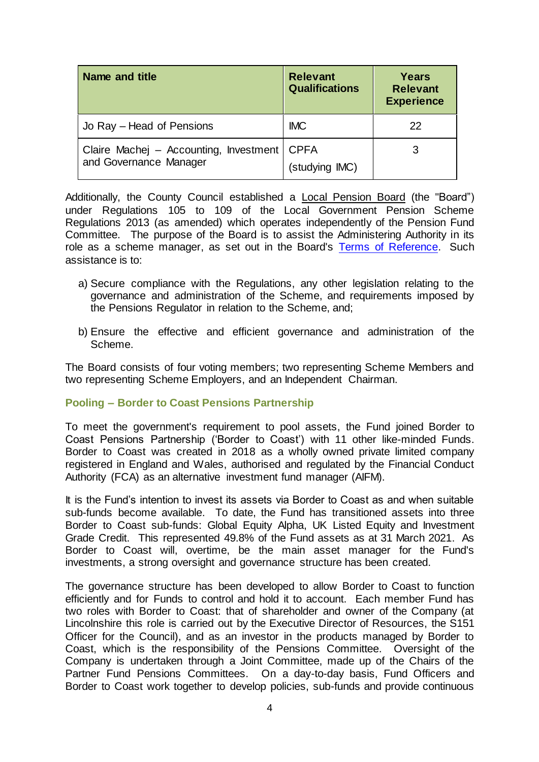| Name and title                                                   | <b>Relevant</b><br><b>Qualifications</b> | Years<br><b>Relevant</b><br><b>Experience</b> |
|------------------------------------------------------------------|------------------------------------------|-----------------------------------------------|
| Jo Ray - Head of Pensions                                        | <b>IMC</b>                               | 22                                            |
| Claire Machej - Accounting, Investment<br>and Governance Manager | <b>CPFA</b><br>(studying IMC)            |                                               |

Additionally, the County Council established a Local Pension Board (the "Board") under Regulations 105 to 109 of the Local Government Pension Scheme Regulations 2013 (as amended) which operates independently of the Pension Fund Committee. The purpose of the Board is to assist the Administering Authority in its role as a scheme manager, as set out in the Board's [Terms of Reference.](https://www.wypf.org.uk/media/3043/terms-of-reference.pdf) Such assistance is to:

- a) Secure compliance with the Regulations, any other legislation relating to the governance and administration of the Scheme, and requirements imposed by the Pensions Regulator in relation to the Scheme, and;
- b) Ensure the effective and efficient governance and administration of the Scheme.

The Board consists of four voting members; two representing Scheme Members and two representing Scheme Employers, and an Independent Chairman.

#### **Pooling – Border to Coast Pensions Partnership**

To meet the government's requirement to pool assets, the Fund joined Border to Coast Pensions Partnership ('Border to Coast') with 11 other like-minded Funds. Border to Coast was created in 2018 as a wholly owned private limited company registered in England and Wales, authorised and regulated by the Financial Conduct Authority (FCA) as an alternative investment fund manager (AIFM).

It is the Fund's intention to invest its assets via Border to Coast as and when suitable sub-funds become available. To date, the Fund has transitioned assets into three Border to Coast sub-funds: Global Equity Alpha, UK Listed Equity and Investment Grade Credit. This represented 49.8% of the Fund assets as at 31 March 2021. As Border to Coast will, overtime, be the main asset manager for the Fund's investments, a strong oversight and governance structure has been created.

The governance structure has been developed to allow Border to Coast to function efficiently and for Funds to control and hold it to account. Each member Fund has two roles with Border to Coast: that of shareholder and owner of the Company (at Lincolnshire this role is carried out by the Executive Director of Resources, the S151 Officer for the Council), and as an investor in the products managed by Border to Coast, which is the responsibility of the Pensions Committee. Oversight of the Company is undertaken through a Joint Committee, made up of the Chairs of the Partner Fund Pensions Committees. On a day-to-day basis, Fund Officers and Border to Coast work together to develop policies, sub-funds and provide continuous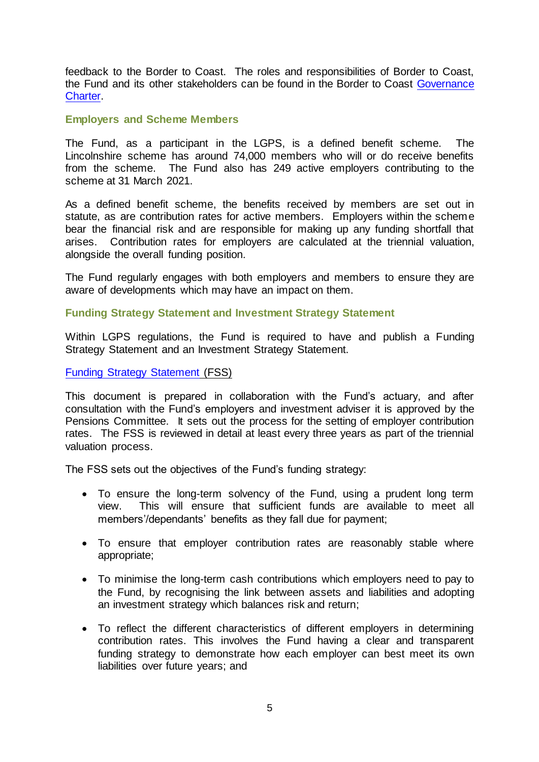feedback to the Border to Coast. The roles and responsibilities of Border to Coast, the Fund and its other stakeholders can be found in the Border to Coast [Governance](https://www.bordertocoast.org.uk/app/uploads/2021/09/Governance-Charter-2021.pdf)  [Charter.](https://www.bordertocoast.org.uk/app/uploads/2021/09/Governance-Charter-2021.pdf)

#### **Employers and Scheme Members**

The Fund, as a participant in the LGPS, is a defined benefit scheme. The Lincolnshire scheme has around 74,000 members who will or do receive benefits from the scheme. The Fund also has 249 active employers contributing to the scheme at 31 March 2021.

As a defined benefit scheme, the benefits received by members are set out in statute, as are contribution rates for active members. Employers within the scheme bear the financial risk and are responsible for making up any funding shortfall that arises. Contribution rates for employers are calculated at the triennial valuation, alongside the overall funding position.

The Fund regularly engages with both employers and members to ensure they are aware of developments which may have an impact on them.

#### **Funding Strategy Statement and Investment Strategy Statement**

Within LGPS regulations, the Fund is required to have and publish a Funding Strategy Statement and an Investment Strategy Statement.

#### [Funding Strategy Statement](https://www.wypf.org.uk/media/3176/funding-strategy-statement-2021-v2.pdf) (FSS)

This document is prepared in collaboration with the Fund's actuary, and after consultation with the Fund's employers and investment adviser it is approved by the Pensions Committee. It sets out the process for the setting of employer contribution rates. The FSS is reviewed in detail at least every three years as part of the triennial valuation process.

The FSS sets out the objectives of the Fund's funding strategy:

- To ensure the long-term solvency of the Fund, using a prudent long term view. This will ensure that sufficient funds are available to meet all members'/dependants' benefits as they fall due for payment;
- To ensure that employer contribution rates are reasonably stable where appropriate;
- To minimise the long-term cash contributions which employers need to pay to the Fund, by recognising the link between assets and liabilities and adopting an investment strategy which balances risk and return;
- To reflect the different characteristics of different employers in determining contribution rates. This involves the Fund having a clear and transparent funding strategy to demonstrate how each employer can best meet its own liabilities over future years; and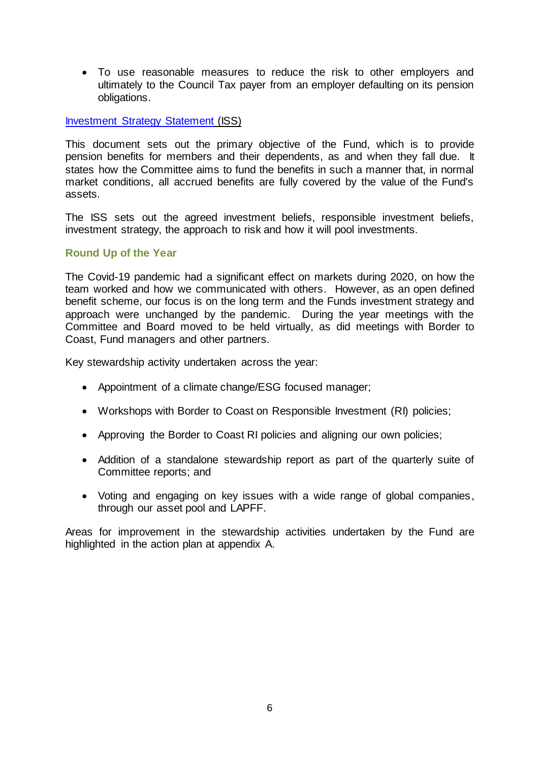To use reasonable measures to reduce the risk to other employers and ultimately to the Council Tax payer from an employer defaulting on its pension obligations.

#### [Investment Strategy Statement](https://www.wypf.org.uk/media/3113/iss-2021.pdf) (ISS)

This document sets out the primary objective of the Fund, which is to provide pension benefits for members and their dependents, as and when they fall due. It states how the Committee aims to fund the benefits in such a manner that, in normal market conditions, all accrued benefits are fully covered by the value of the Fund's assets.

The ISS sets out the agreed investment beliefs, responsible investment beliefs, investment strategy, the approach to risk and how it will pool investments.

#### **Round Up of the Year**

The Covid-19 pandemic had a significant effect on markets during 2020, on how the team worked and how we communicated with others. However, as an open defined benefit scheme, our focus is on the long term and the Funds investment strategy and approach were unchanged by the pandemic. During the year meetings with the Committee and Board moved to be held virtually, as did meetings with Border to Coast, Fund managers and other partners.

Key stewardship activity undertaken across the year:

- Appointment of a climate change/ESG focused manager;
- Workshops with Border to Coast on Responsible Investment (RI) policies;
- Approving the Border to Coast RI policies and aligning our own policies;
- Addition of a standalone stewardship report as part of the quarterly suite of Committee reports; and
- Voting and engaging on key issues with a wide range of global companies, through our asset pool and LAPFF.

Areas for improvement in the stewardship activities undertaken by the Fund are highlighted in the action plan at appendix A.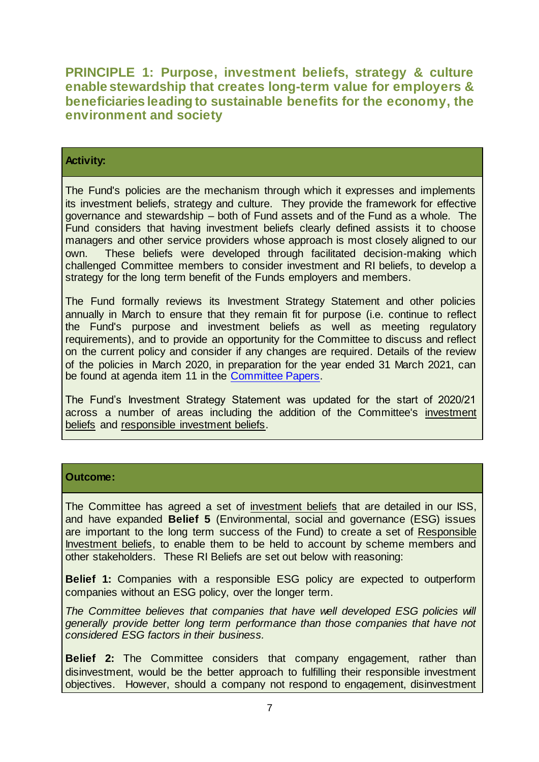**PRINCIPLE 1: Purpose, investment beliefs, strategy & culture enable stewardship that creates long-term value for employers & beneficiaries leading to sustainable benefits for the economy, the environment and society**

#### **Activity:**

The Fund's policies are the mechanism through which it expresses and implements its investment beliefs, strategy and culture. They provide the framework for effective governance and stewardship – both of Fund assets and of the Fund as a whole. The Fund considers that having investment beliefs clearly defined assists it to choose managers and other service providers whose approach is most closely aligned to our own. These beliefs were developed through facilitated decision-making which challenged Committee members to consider investment and RI beliefs, to develop a strategy for the long term benefit of the Funds employers and members.

The Fund formally reviews its Investment Strategy Statement and other policies annually in March to ensure that they remain fit for purpose (i.e. continue to reflect the Fund's purpose and investment beliefs as well as meeting regulatory requirements), and to provide an opportunity for the Committee to discuss and reflect on the current policy and consider if any changes are required. Details of the review of the policies in March 2020, in preparation for the year ended 31 March 2021, can be found at agenda item 11 in the [Committee Papers.](https://lincolnshire.moderngov.co.uk/ieListDocuments.aspx?CId=136&MId=5582&Ver=4)

The Fund's Investment Strategy Statement was updated for the start of 2020/21 across a number of areas including the addition of the Committee's investment beliefs and responsible investment beliefs.

#### **Outcome:**

The Committee has agreed a set of investment beliefs that are detailed in our ISS, and have expanded **Belief 5** (Environmental, social and governance (ESG) issues are important to the long term success of the Fund) to create a set of Responsible Investment beliefs, to enable them to be held to account by scheme members and other stakeholders. These RI Beliefs are set out below with reasoning:

**Belief 1:** Companies with a responsible ESG policy are expected to outperform companies without an ESG policy, over the longer term.

*The Committee believes that companies that have well developed ESG policies will generally provide better long term performance than those companies that have not considered ESG factors in their business.*

**Belief 2:** The Committee considers that company engagement, rather than disinvestment, would be the better approach to fulfilling their responsible investment objectives. However, should a company not respond to engagement, disinvestment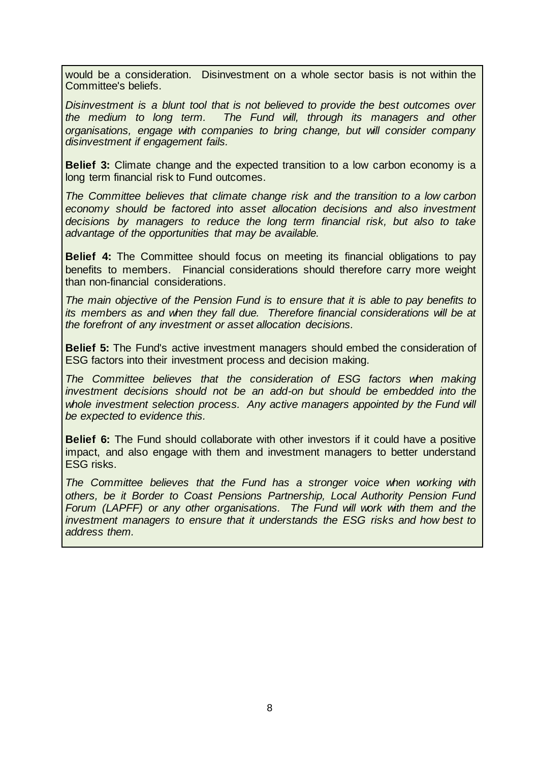would be a consideration. Disinvestment on a whole sector basis is not within the Committee's beliefs.

*Disinvestment is a blunt tool that is not believed to provide the best outcomes over the medium to long term. The Fund will, through its managers and other organisations, engage with companies to bring change, but will consider company disinvestment if engagement fails.*

**Belief 3:** Climate change and the expected transition to a low carbon economy is a long term financial risk to Fund outcomes.

*The Committee believes that climate change risk and the transition to a low carbon economy should be factored into asset allocation decisions and also investment decisions by managers to reduce the long term financial risk, but also to take advantage of the opportunities that may be available.*

**Belief 4:** The Committee should focus on meeting its financial obligations to pay benefits to members. Financial considerations should therefore carry more weight than non-financial considerations.

*The main objective of the Pension Fund is to ensure that it is able to pay benefits to its members as and when they fall due. Therefore financial considerations will be at the forefront of any investment or asset allocation decisions.*

**Belief 5:** The Fund's active investment managers should embed the consideration of ESG factors into their investment process and decision making.

*The Committee believes that the consideration of ESG factors when making investment decisions should not be an add-on but should be embedded into the whole investment selection process. Any active managers appointed by the Fund will be expected to evidence this.*

**Belief 6:** The Fund should collaborate with other investors if it could have a positive impact, and also engage with them and investment managers to better understand ESG risks.

*The Committee believes that the Fund has a stronger voice when working with others, be it Border to Coast Pensions Partnership, Local Authority Pension Fund Forum (LAPFF) or any other organisations. The Fund will work with them and the investment managers to ensure that it understands the ESG risks and how best to address them.*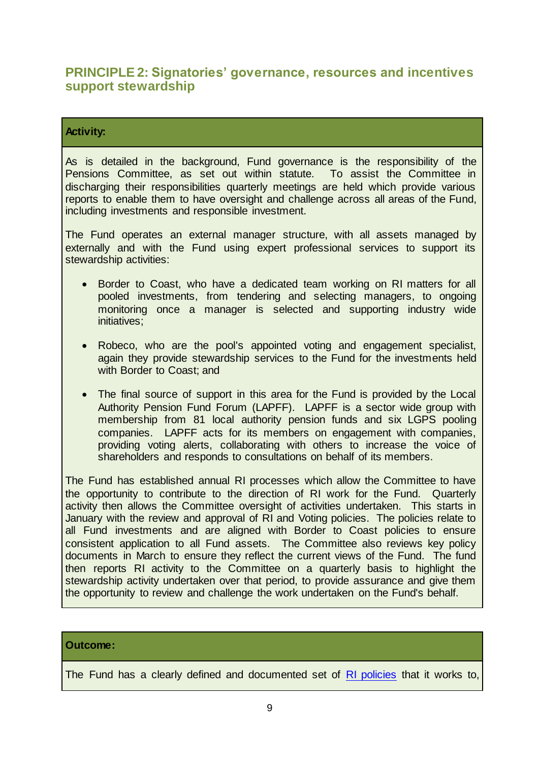### **PRINCIPLE 2: Signatories' governance, resources and incentives support stewardship**

#### **Activity:**

As is detailed in the background, Fund governance is the responsibility of the Pensions Committee, as set out within statute. To assist the Committee in discharging their responsibilities quarterly meetings are held which provide various reports to enable them to have oversight and challenge across all areas of the Fund, including investments and responsible investment.

The Fund operates an external manager structure, with all assets managed by externally and with the Fund using expert professional services to support its stewardship activities:

- Border to Coast, who have a dedicated team working on RI matters for all pooled investments, from tendering and selecting managers, to ongoing monitoring once a manager is selected and supporting industry wide initiatives;
- Robeco, who are the pool's appointed voting and engagement specialist, again they provide stewardship services to the Fund for the investments held with Border to Coast; and
- The final source of support in this area for the Fund is provided by the Local Authority Pension Fund Forum (LAPFF). LAPFF is a sector wide group with membership from 81 local authority pension funds and six LGPS pooling companies. LAPFF acts for its members on engagement with companies, providing voting alerts, collaborating with others to increase the voice of shareholders and responds to consultations on behalf of its members.

The Fund has established annual RI processes which allow the Committee to have the opportunity to contribute to the direction of RI work for the Fund. Quarterly activity then allows the Committee oversight of activities undertaken. This starts in January with the review and approval of RI and Voting policies. The policies relate to all Fund investments and are aligned with Border to Coast policies to ensure consistent application to all Fund assets. The Committee also reviews key policy documents in March to ensure they reflect the current views of the Fund. The fund then reports RI activity to the Committee on a quarterly basis to highlight the stewardship activity undertaken over that period, to provide assurance and give them the opportunity to review and challenge the work undertaken on the Fund's behalf.

#### **Outcome:**

The Fund has a clearly defined and documented set of [RI policies](https://www.wypf.org.uk/publications/policy-home/lpf-index/) that it works to,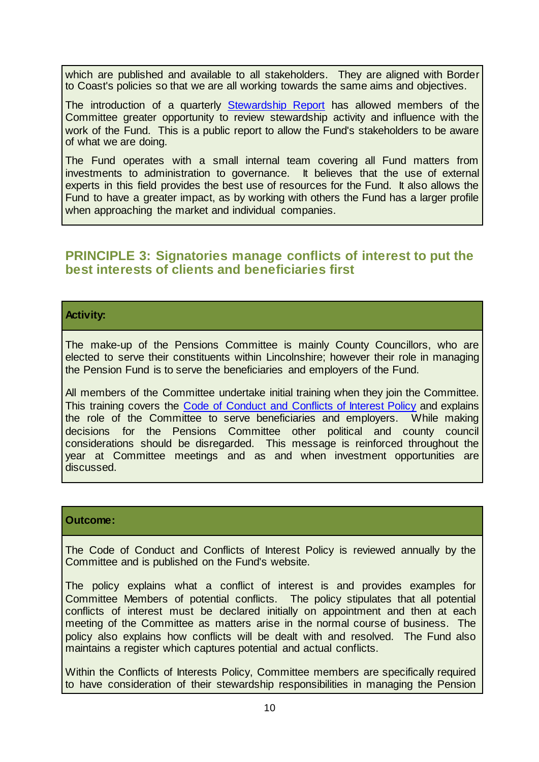which are published and available to all stakeholders. They are aligned with Border to Coast's policies so that we are all working towards the same aims and objectives.

The introduction of a quarterly [Stewardship Report](https://lincolnshire.moderngov.co.uk/documents/s38571/Responsible%20Investment%20Update.pdf) has allowed members of the Committee greater opportunity to review stewardship activity and influence with the work of the Fund. This is a public report to allow the Fund's stakeholders to be aware of what we are doing.

The Fund operates with a small internal team covering all Fund matters from investments to administration to governance. It believes that the use of external experts in this field provides the best use of resources for the Fund. It also allows the Fund to have a greater impact, as by working with others the Fund has a larger profile when approaching the market and individual companies.

### **PRINCIPLE 3: Signatories manage conflicts of interest to put the best interests of clients and beneficiaries first**

#### **Activity:**

The make-up of the Pensions Committee is mainly County Councillors, who are elected to serve their constituents within Lincolnshire; however their role in managing the Pension Fund is to serve the beneficiaries and employers of the Fund.

All members of the Committee undertake initial training when they join the Committee. This training covers the [Code of Conduct and Conflicts of Interest Policy](https://www.wypf.org.uk/media/3110/code-of-conduct-and-conflicts-policy-2021.pdf) and explains the role of the Committee to serve beneficiaries and employers. While making decisions for the Pensions Committee other political and county council considerations should be disregarded. This message is reinforced throughout the year at Committee meetings and as and when investment opportunities are discussed.

#### **Outcome:**

The Code of Conduct and Conflicts of Interest Policy is reviewed annually by the Committee and is published on the Fund's website.

The policy explains what a conflict of interest is and provides examples for Committee Members of potential conflicts. The policy stipulates that all potential conflicts of interest must be declared initially on appointment and then at each meeting of the Committee as matters arise in the normal course of business. The policy also explains how conflicts will be dealt with and resolved. The Fund also maintains a register which captures potential and actual conflicts.

Within the Conflicts of Interests Policy, Committee members are specifically required to have consideration of their stewardship responsibilities in managing the Pension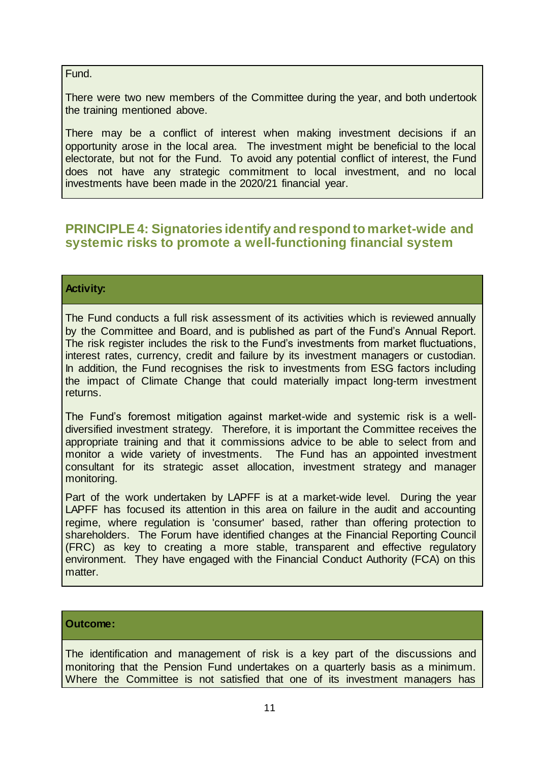#### Fund.

There were two new members of the Committee during the year, and both undertook the training mentioned above.

There may be a conflict of interest when making investment decisions if an opportunity arose in the local area. The investment might be beneficial to the local electorate, but not for the Fund. To avoid any potential conflict of interest, the Fund does not have any strategic commitment to local investment, and no local investments have been made in the 2020/21 financial year.

### **PRINCIPLE 4: Signatories identify and respond to market-wide and systemic risks to promote a well-functioning financial system**

#### **Activity:**

The Fund conducts a full risk assessment of its activities which is reviewed annually by the Committee and Board, and is published as part of the Fund's Annual Report. The risk register includes the risk to the Fund's investments from market fluctuations, interest rates, currency, credit and failure by its investment managers or custodian. In addition, the Fund recognises the risk to investments from ESG factors including the impact of Climate Change that could materially impact long-term investment returns.

The Fund's foremost mitigation against market-wide and systemic risk is a welldiversified investment strategy. Therefore, it is important the Committee receives the appropriate training and that it commissions advice to be able to select from and monitor a wide variety of investments. The Fund has an appointed investment consultant for its strategic asset allocation, investment strategy and manager monitoring.

Part of the work undertaken by LAPFF is at a market-wide level. During the year LAPFF has focused its attention in this area on failure in the audit and accounting regime, where regulation is 'consumer' based, rather than offering protection to shareholders. The Forum have identified changes at the Financial Reporting Council (FRC) as key to creating a more stable, transparent and effective regulatory environment. They have engaged with the Financial Conduct Authority (FCA) on this matter.

#### **Outcome:**

The identification and management of risk is a key part of the discussions and monitoring that the Pension Fund undertakes on a quarterly basis as a minimum. Where the Committee is not satisfied that one of its investment managers has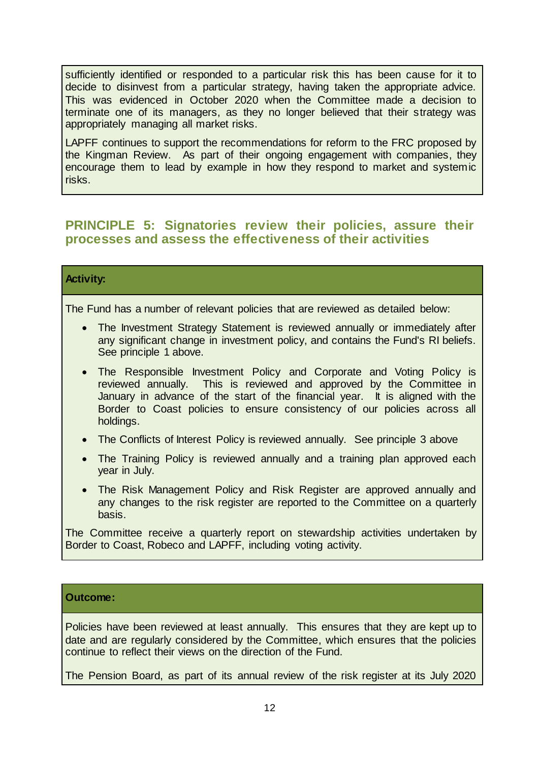sufficiently identified or responded to a particular risk this has been cause for it to decide to disinvest from a particular strategy, having taken the appropriate advice. This was evidenced in October 2020 when the Committee made a decision to terminate one of its managers, as they no longer believed that their strategy was appropriately managing all market risks.

LAPFF continues to support the recommendations for reform to the FRC proposed by the Kingman Review. As part of their ongoing engagement with companies, they encourage them to lead by example in how they respond to market and systemic risks.

### **PRINCIPLE 5: Signatories review their policies, assure their processes and assess the effectiveness of their activities**

#### **Activity:**

The Fund has a number of relevant policies that are reviewed as detailed below:

- The Investment Strategy Statement is reviewed annually or immediately after any significant change in investment policy, and contains the Fund's RI beliefs. See principle 1 above.
- The Responsible Investment Policy and Corporate and Voting Policy is reviewed annually. This is reviewed and approved by the Committee in January in advance of the start of the financial year. It is aligned with the Border to Coast policies to ensure consistency of our policies across all holdings.
- The Conflicts of Interest Policy is reviewed annually. See principle 3 above
- The Training Policy is reviewed annually and a training plan approved each year in July.
- The Risk Management Policy and Risk Register are approved annually and any changes to the risk register are reported to the Committee on a quarterly basis.

The Committee receive a quarterly report on stewardship activities undertaken by Border to Coast, Robeco and LAPFF, including voting activity.

#### **Outcome:**

Policies have been reviewed at least annually. This ensures that they are kept up to date and are regularly considered by the Committee, which ensures that the policies continue to reflect their views on the direction of the Fund.

The Pension Board, as part of its annual review of the risk register at its July 2020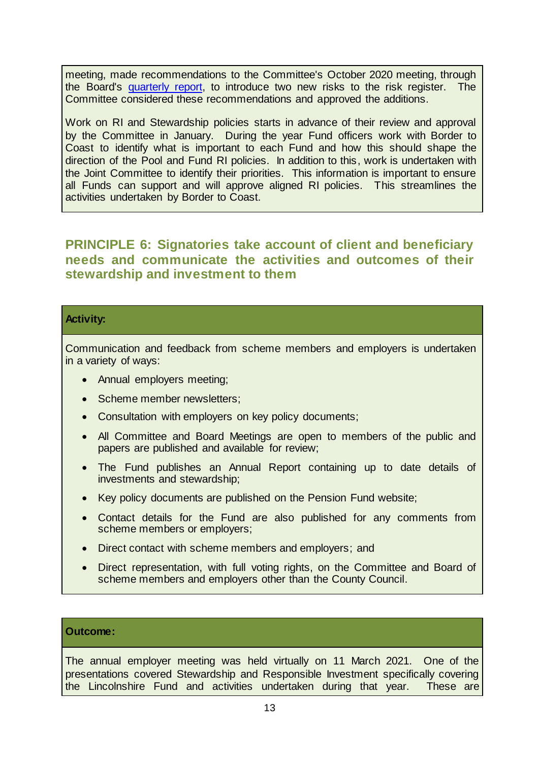meeting, made recommendations to the Committee's October 2020 meeting, through the Board's [quarterly report,](https://lincolnshire.moderngov.co.uk/documents/s35484/Report%20by%20the%20Independent%20Chair%20of%20the%20Lincolnshire%20Local%20Pens...pdf) to introduce two new risks to the risk register. The Committee considered these recommendations and approved the additions.

Work on RI and Stewardship policies starts in advance of their review and approval by the Committee in January. During the year Fund officers work with Border to Coast to identify what is important to each Fund and how this should shape the direction of the Pool and Fund RI policies. In addition to this, work is undertaken with the Joint Committee to identify their priorities. This information is important to ensure all Funds can support and will approve aligned RI policies. This streamlines the activities undertaken by Border to Coast.

**PRINCIPLE 6: Signatories take account of client and beneficiary needs and communicate the activities and outcomes of their stewardship and investment to them**

#### **Activity:**

Communication and feedback from scheme members and employers is undertaken in a variety of ways:

- Annual employers meeting;
- Scheme member newsletters;
- Consultation with employers on key policy documents;
- All Committee and Board Meetings are open to members of the public and papers are published and available for review;
- The Fund publishes an Annual Report containing up to date details of investments and stewardship;
- Key policy documents are published on the Pension Fund website;
- Contact details for the Fund are also published for any comments from scheme members or employers;
- Direct contact with scheme members and employers; and
- Direct representation, with full voting rights, on the Committee and Board of scheme members and employers other than the County Council.

#### **Outcome:**

The annual employer meeting was held virtually on 11 March 2021. One of the presentations covered Stewardship and Responsible Investment specifically covering the Lincolnshire Fund and activities undertaken during that year. These are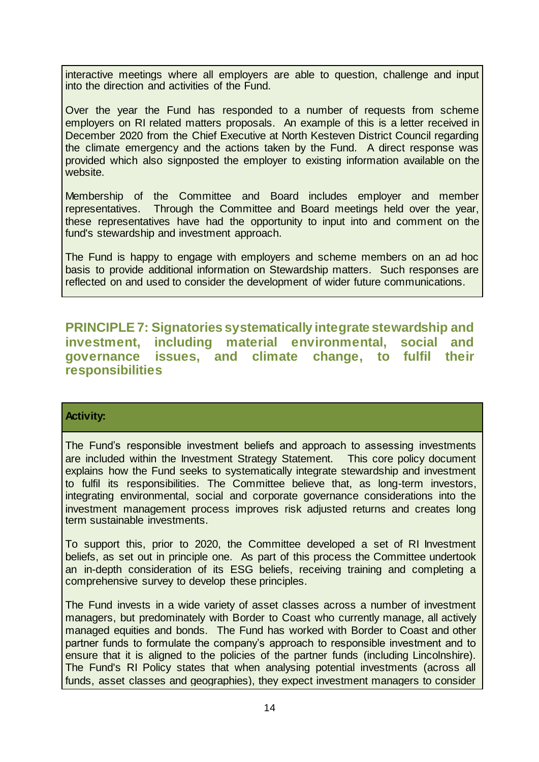interactive meetings where all employers are able to question, challenge and input into the direction and activities of the Fund.

Over the year the Fund has responded to a number of requests from scheme employers on RI related matters proposals. An example of this is a letter received in December 2020 from the Chief Executive at North Kesteven District Council regarding the climate emergency and the actions taken by the Fund. A direct response was provided which also signposted the employer to existing information available on the website.

Membership of the Committee and Board includes employer and member representatives. Through the Committee and Board meetings held over the year, these representatives have had the opportunity to input into and comment on the fund's stewardship and investment approach.

The Fund is happy to engage with employers and scheme members on an ad hoc basis to provide additional information on Stewardship matters. Such responses are reflected on and used to consider the development of wider future communications.

**PRINCIPLE 7: Signatories systematically integrate stewardship and investment, including material environmental, social and governance issues, and climate change, to fulfil their responsibilities**

#### **Activity:**

The Fund's responsible investment beliefs and approach to assessing investments are included within the Investment Strategy Statement. This core policy document explains how the Fund seeks to systematically integrate stewardship and investment to fulfil its responsibilities. The Committee believe that, as long-term investors, integrating environmental, social and corporate governance considerations into the investment management process improves risk adjusted returns and creates long term sustainable investments.

To support this, prior to 2020, the Committee developed a set of RI Investment beliefs, as set out in principle one. As part of this process the Committee undertook an in-depth consideration of its ESG beliefs, receiving training and completing a comprehensive survey to develop these principles.

The Fund invests in a wide variety of asset classes across a number of investment managers, but predominately with Border to Coast who currently manage, all actively managed equities and bonds. The Fund has worked with Border to Coast and other partner funds to formulate the company's approach to responsible investment and to ensure that it is aligned to the policies of the partner funds (including Lincolnshire). The Fund's RI Policy states that when analysing potential investments (across all funds, asset classes and geographies), they expect investment managers to consider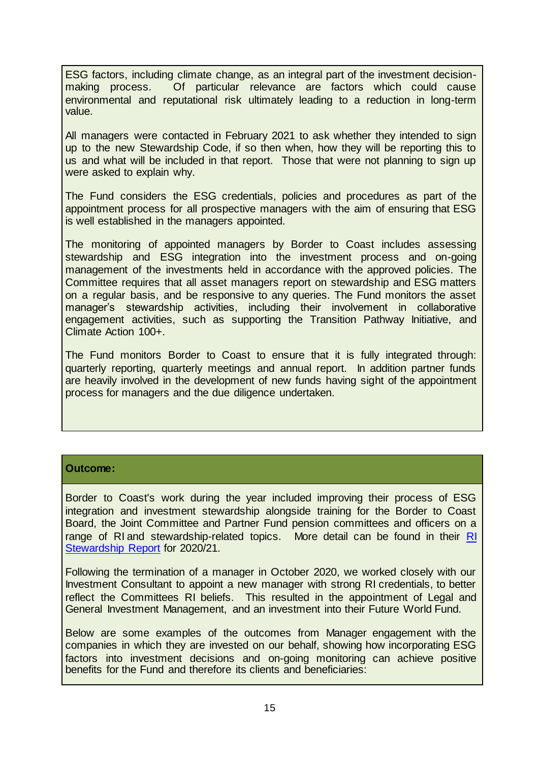ESG factors, including climate change, as an integral part of the investment decisionmaking process. Of particular relevance are factors which could cause environmental and reputational risk ultimately leading to a reduction in long-term value.

All managers were contacted in February 2021 to ask whether they intended to sign up to the new Stewardship Code, if so then when, how they will be reporting this to us and what will be included in that report. Those that were not planning to sign up were asked to explain why.

The Fund considers the ESG credentials, policies and procedures as part of the appointment process for all prospective managers with the aim of ensuring that ESG is well established in the managers appointed.

The monitoring of appointed managers by Border to Coast includes assessing stewardship and ESG integration into the investment process and on-going management of the investments held in accordance with the approved policies. The Committee requires that all asset managers report on stewardship and ESG matters on a regular basis, and be responsive to any queries. The Fund monitors the asset manager's stewardship activities, including their involvement in collaborative engagement activities, such as supporting the Transition Pathway Initiative, and Climate Action 100+.

The Fund monitors Border to Coast to ensure that it is fully integrated through: quarterly reporting, quarterly meetings and annual report. In addition partner funds are heavily involved in the development of new funds having sight of the appointment process for managers and the due diligence undertaken.

#### **Outcome:**

Border to Coast's work during the year included improving their process of ESG integration and investment stewardship alongside training for the Border to Coast Board, the Joint Committee and Partner Fund pension committees and officers on a range of RI and stewardship-related topics. More detail can be found in their [RI](https://www.bordertocoast.org.uk/app/uploads/2021/08/Border-to-Coast-Responsible-Investment-Stewardship-Report-2020-21.pdf)  [Stewardship Report](https://www.bordertocoast.org.uk/app/uploads/2021/08/Border-to-Coast-Responsible-Investment-Stewardship-Report-2020-21.pdf) for 2020/21.

Following the termination of a manager in October 2020, we worked closely with our Investment Consultant to appoint a new manager with strong RI credentials, to better reflect the Committees RI beliefs. This resulted in the appointment of Legal and General Investment Management, and an investment into their Future World Fund.

Below are some examples of the outcomes from Manager engagement with the companies in which they are invested on our behalf, showing how incorporating ESG factors into investment decisions and on-going monitoring can achieve positive benefits for the Fund and therefore its clients and beneficiaries: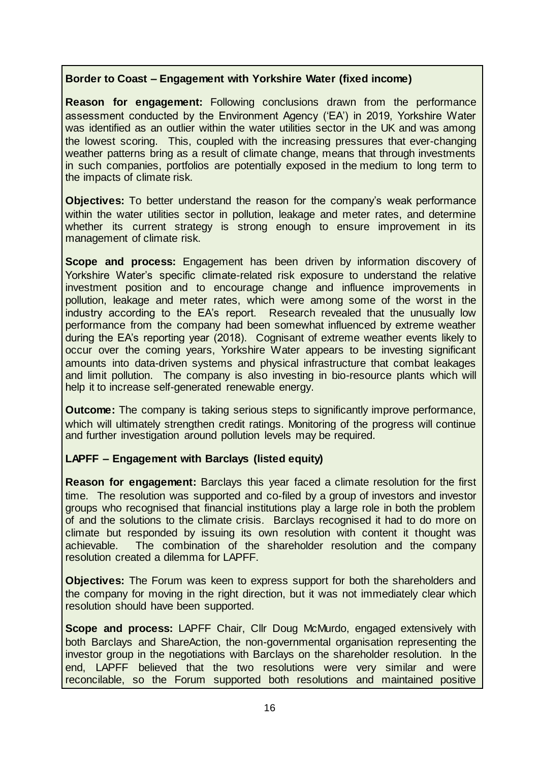#### **Border to Coast – Engagement with Yorkshire Water (fixed income)**

**Reason for engagement:** Following conclusions drawn from the performance assessment conducted by the Environment Agency ('EA') in 2019, Yorkshire Water was identified as an outlier within the water utilities sector in the UK and was among the lowest scoring. This, coupled with the increasing pressures that ever-changing weather patterns bring as a result of climate change, means that through investments in such companies, portfolios are potentially exposed in the medium to long term to the impacts of climate risk.

**Objectives:** To better understand the reason for the company's weak performance within the water utilities sector in pollution, leakage and meter rates, and determine whether its current strategy is strong enough to ensure improvement in its management of climate risk.

**Scope and process:** Engagement has been driven by information discovery of Yorkshire Water's specific climate-related risk exposure to understand the relative investment position and to encourage change and influence improvements in pollution, leakage and meter rates, which were among some of the worst in the industry according to the EA's report. Research revealed that the unusually low performance from the company had been somewhat influenced by extreme weather during the EA's reporting year (2018). Cognisant of extreme weather events likely to occur over the coming years, Yorkshire Water appears to be investing significant amounts into data-driven systems and physical infrastructure that combat leakages and limit pollution. The company is also investing in bio-resource plants which will help it to increase self-generated renewable energy.

**Outcome:** The company is taking serious steps to significantly improve performance, which will ultimately strengthen credit ratings. Monitoring of the progress will continue and further investigation around pollution levels may be required.

#### **LAPFF – Engagement with Barclays (listed equity)**

**Reason for engagement:** Barclays this year faced a climate resolution for the first time. The resolution was supported and co-filed by a group of investors and investor groups who recognised that financial institutions play a large role in both the problem of and the solutions to the climate crisis. Barclays recognised it had to do more on climate but responded by issuing its own resolution with content it thought was achievable. The combination of the shareholder resolution and the company resolution created a dilemma for LAPFF.

**Objectives:** The Forum was keen to express support for both the shareholders and the company for moving in the right direction, but it was not immediately clear which resolution should have been supported.

**Scope and process:** LAPFF Chair, Cllr Doug McMurdo, engaged extensively with both Barclays and ShareAction, the non-governmental organisation representing the investor group in the negotiations with Barclays on the shareholder resolution. In the end, LAPFF believed that the two resolutions were very similar and were reconcilable, so the Forum supported both resolutions and maintained positive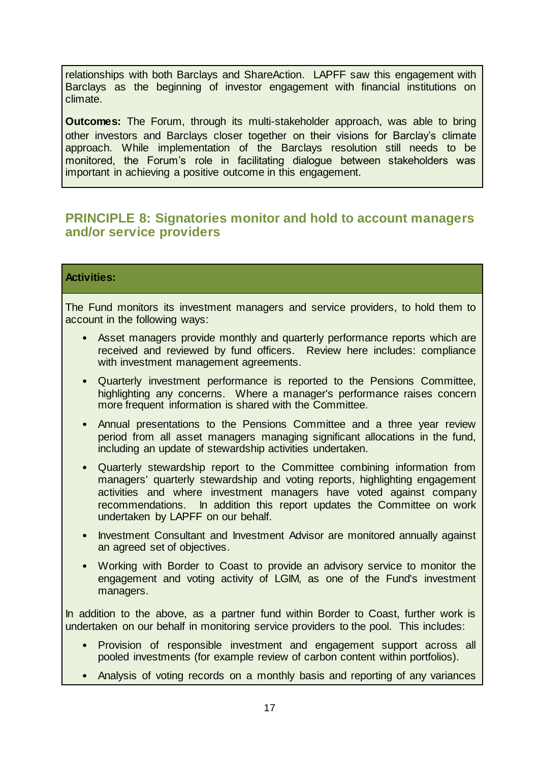relationships with both Barclays and ShareAction. LAPFF saw this engagement with Barclays as the beginning of investor engagement with financial institutions on climate.

**Outcomes:** The Forum, through its multi-stakeholder approach, was able to bring other investors and Barclays closer together on their visions for Barclay's climate approach. While implementation of the Barclays resolution still needs to be monitored, the Forum's role in facilitating dialogue between stakeholders was important in achieving a positive outcome in this engagement.

### **PRINCIPLE 8: Signatories monitor and hold to account managers and/or service providers**

#### **Activities:**

The Fund monitors its investment managers and service providers, to hold them to account in the following ways:

- Asset managers provide monthly and quarterly performance reports which are received and reviewed by fund officers. Review here includes: compliance with investment management agreements.
- Quarterly investment performance is reported to the Pensions Committee, highlighting any concerns. Where a manager's performance raises concern more frequent information is shared with the Committee.
- Annual presentations to the Pensions Committee and a three year review period from all asset managers managing significant allocations in the fund, including an update of stewardship activities undertaken.
- Quarterly stewardship report to the Committee combining information from managers' quarterly stewardship and voting reports, highlighting engagement activities and where investment managers have voted against company recommendations. In addition this report updates the Committee on work undertaken by LAPFF on our behalf.
- Investment Consultant and Investment Advisor are monitored annually against an agreed set of objectives.
- Working with Border to Coast to provide an advisory service to monitor the engagement and voting activity of LGIM, as one of the Fund's investment managers.

In addition to the above, as a partner fund within Border to Coast, further work is undertaken on our behalf in monitoring service providers to the pool. This includes:

- Provision of responsible investment and engagement support across all pooled investments (for example review of carbon content within portfolios).
- Analysis of voting records on a monthly basis and reporting of any variances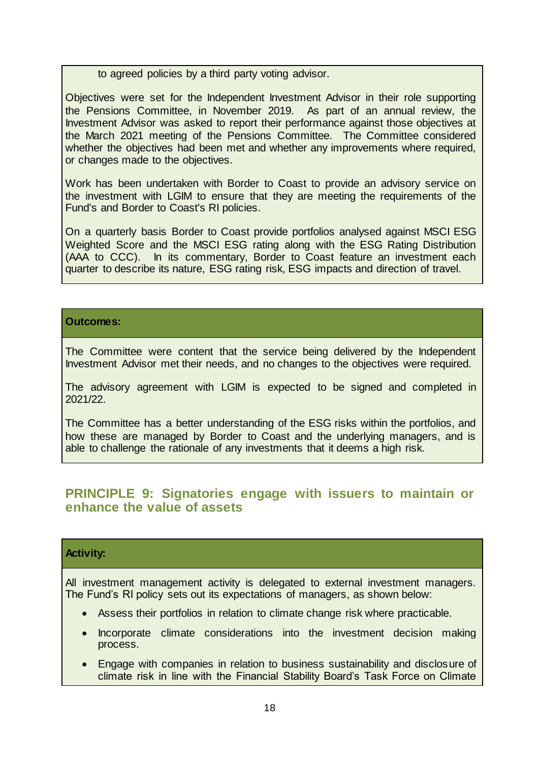to agreed policies by a third party voting advisor.

Objectives were set for the Independent Investment Advisor in their role supporting the Pensions Committee, in November 2019. As part of an annual review, the Investment Advisor was asked to report their performance against those objectives at the March 2021 meeting of the Pensions Committee. The Committee considered whether the objectives had been met and whether any improvements where required, or changes made to the objectives.

Work has been undertaken with Border to Coast to provide an advisory service on the investment with LGIM to ensure that they are meeting the requirements of the Fund's and Border to Coast's RI policies.

On a quarterly basis Border to Coast provide portfolios analysed against MSCI ESG Weighted Score and the MSCI ESG rating along with the ESG Rating Distribution (AAA to CCC). In its commentary, Border to Coast feature an investment each quarter to describe its nature, ESG rating risk, ESG impacts and direction of travel.

#### **Outcomes:**

The Committee were content that the service being delivered by the Independent Investment Advisor met their needs, and no changes to the objectives were required.

The advisory agreement with LGIM is expected to be signed and completed in 2021/22.

The Committee has a better understanding of the ESG risks within the portfolios, and how these are managed by Border to Coast and the underlying managers, and is able to challenge the rationale of any investments that it deems a high risk.

### **PRINCIPLE 9: Signatories engage with issuers to maintain or enhance the value of assets**

#### **Activity:**

All investment management activity is delegated to external investment managers. The Fund's RI policy sets out its expectations of managers, as shown below:

- Assess their portfolios in relation to climate change risk where practicable.
- Incorporate climate considerations into the investment decision making process.
- Engage with companies in relation to business sustainability and disclosure of climate risk in line with the Financial Stability Board's Task Force on Climate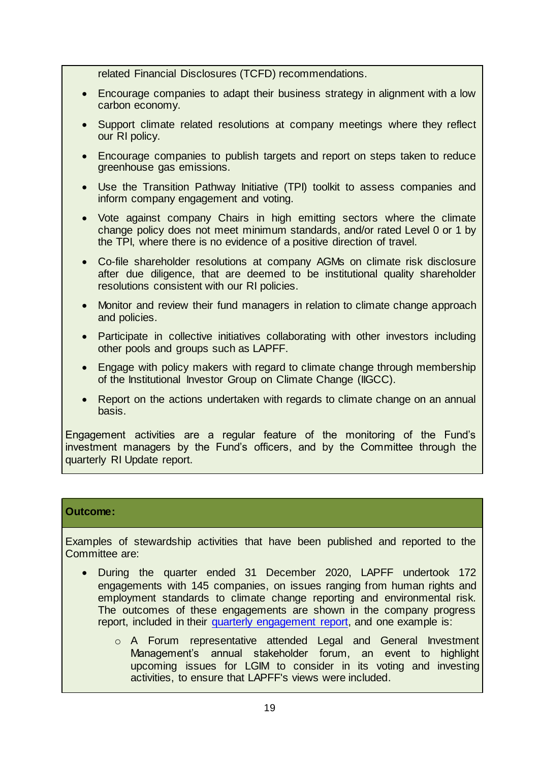related Financial Disclosures (TCFD) recommendations.

- Encourage companies to adapt their business strategy in alignment with a low carbon economy.
- Support climate related resolutions at company meetings where they reflect our RI policy.
- Encourage companies to publish targets and report on steps taken to reduce greenhouse gas emissions.
- Use the Transition Pathway Initiative (TPI) toolkit to assess companies and inform company engagement and voting.
- Vote against company Chairs in high emitting sectors where the climate change policy does not meet minimum standards, and/or rated Level 0 or 1 by the TPI, where there is no evidence of a positive direction of travel.
- Co-file shareholder resolutions at company AGMs on climate risk disclosure after due diligence, that are deemed to be institutional quality shareholder resolutions consistent with our RI policies.
- Monitor and review their fund managers in relation to climate change approach and policies.
- Participate in collective initiatives collaborating with other investors including other pools and groups such as LAPFF.
- Engage with policy makers with regard to climate change through membership of the Institutional Investor Group on Climate Change (IIGCC).
- Report on the actions undertaken with regards to climate change on an annual basis.

Engagement activities are a regular feature of the monitoring of the Fund's investment managers by the Fund's officers, and by the Committee through the quarterly RI Update report.

#### **Outcome:**

Examples of stewardship activities that have been published and reported to the Committee are:

- During the quarter ended 31 December 2020, LAPFF undertook 172 engagements with 145 companies, on issues ranging from human rights and employment standards to climate change reporting and environmental risk. The outcomes of these engagements are shown in the company progress report, included in their [quarterly engagement report,](https://lapfforum.org/wp-content/uploads/2021/01/LAPFF_QER4_2020_final.pdf) and one example is:
	- o A Forum representative attended Legal and General Investment Management's annual stakeholder forum, an event to highlight upcoming issues for LGIM to consider in its voting and investing activities, to ensure that LAPFF's views were included.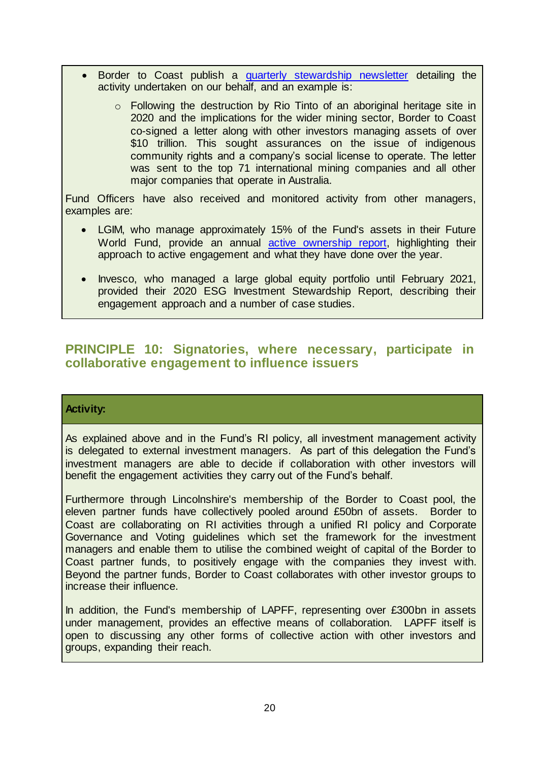- Border to Coast publish a [quarterly stewardship newsletter](https://www.bordertocoast.org.uk/app/uploads/2021/02/Quarterly-Stewardship-Report-Q4-2020-Final.pdf) detailing the activity undertaken on our behalf, and an example is:
	- o Following the destruction by Rio Tinto of an aboriginal heritage site in 2020 and the implications for the wider mining sector, Border to Coast co-signed a letter along with other investors managing assets of over \$10 trillion. This sought assurances on the issue of indigenous community rights and a company's social license to operate. The letter was sent to the top 71 international mining companies and all other major companies that operate in Australia.

Fund Officers have also received and monitored activity from other managers, examples are:

- LGIM, who manage approximately 15% of the Fund's assets in their Future World Fund, provide an annual [active ownership report](https://www.lgim.com/landg-assets/lgim/_document-library/capabilities/active-ownership-report-2020.pdf), highlighting their approach to active engagement and what they have done over the year.
- Invesco, who managed a large global equity portfolio until February 2021, provided their 2020 ESG Investment Stewardship Report, describing their engagement approach and a number of case studies.

### **PRINCIPLE 10: Signatories, where necessary, participate in collaborative engagement to influence issuers**

#### **Activity:**

As explained above and in the Fund's RI policy, all investment management activity is delegated to external investment managers. As part of this delegation the Fund's investment managers are able to decide if collaboration with other investors will benefit the engagement activities they carry out of the Fund's behalf.

Furthermore through Lincolnshire's membership of the Border to Coast pool, the eleven partner funds have collectively pooled around £50bn of assets. Border to Coast are collaborating on RI activities through a unified RI policy and Corporate Governance and Voting guidelines which set the framework for the investment managers and enable them to utilise the combined weight of capital of the Border to Coast partner funds, to positively engage with the companies they invest with. Beyond the partner funds, Border to Coast collaborates with other investor groups to increase their influence.

In addition, the Fund's membership of LAPFF, representing over £300bn in assets under management, provides an effective means of collaboration. LAPFF itself is open to discussing any other forms of collective action with other investors and groups, expanding their reach.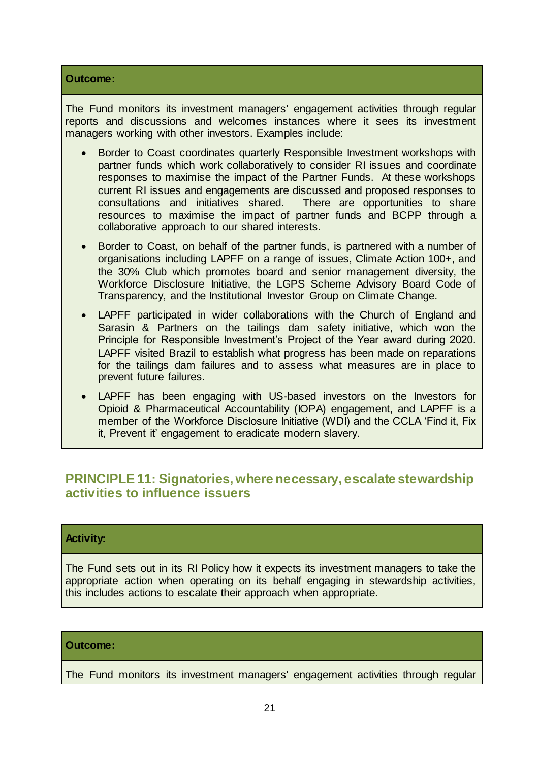#### **Outcome:**

The Fund monitors its investment managers' engagement activities through regular reports and discussions and welcomes instances where it sees its investment managers working with other investors. Examples include:

- Border to Coast coordinates quarterly Responsible Investment workshops with partner funds which work collaboratively to consider RI issues and coordinate responses to maximise the impact of the Partner Funds. At these workshops current RI issues and engagements are discussed and proposed responses to consultations and initiatives shared. There are opportunities to share resources to maximise the impact of partner funds and BCPP through a collaborative approach to our shared interests.
- Border to Coast, on behalf of the partner funds, is partnered with a number of organisations including LAPFF on a range of issues, Climate Action 100+, and the 30% Club which promotes board and senior management diversity, the Workforce Disclosure Initiative, the LGPS Scheme Advisory Board Code of Transparency, and the Institutional Investor Group on Climate Change.
- LAPFF participated in wider collaborations with the Church of England and Sarasin & Partners on the tailings dam safety initiative, which won the Principle for Responsible Investment's Project of the Year award during 2020. LAPFF visited Brazil to establish what progress has been made on reparations for the tailings dam failures and to assess what measures are in place to prevent future failures.
- LAPFF has been engaging with US-based investors on the Investors for Opioid & Pharmaceutical Accountability (IOPA) engagement, and LAPFF is a member of the Workforce Disclosure Initiative (WDI) and the CCLA 'Find it, Fix it, Prevent it' engagement to eradicate modern slavery.

### **PRINCIPLE 11: Signatories, where necessary, escalate stewardship activities to influence issuers**

#### **Activity:**

The Fund sets out in its RI Policy how it expects its investment managers to take the appropriate action when operating on its behalf engaging in stewardship activities, this includes actions to escalate their approach when appropriate.

#### **Outcome:**

The Fund monitors its investment managers' engagement activities through regular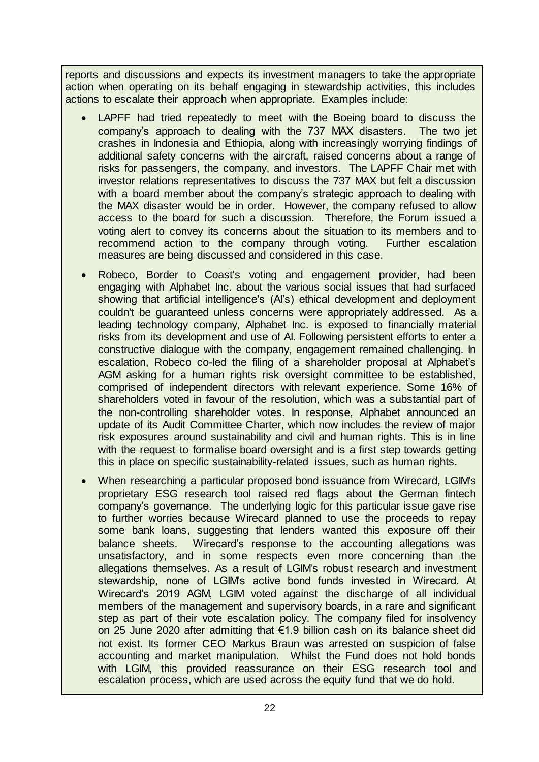reports and discussions and expects its investment managers to take the appropriate action when operating on its behalf engaging in stewardship activities, this includes actions to escalate their approach when appropriate. Examples include:

- LAPFF had tried repeatedly to meet with the Boeing board to discuss the company's approach to dealing with the 737 MAX disasters. The two jet crashes in Indonesia and Ethiopia, along with increasingly worrying findings of additional safety concerns with the aircraft, raised concerns about a range of risks for passengers, the company, and investors. The LAPFF Chair met with investor relations representatives to discuss the 737 MAX but felt a discussion with a board member about the company's strategic approach to dealing with the MAX disaster would be in order. However, the company refused to allow access to the board for such a discussion. Therefore, the Forum issued a voting alert to convey its concerns about the situation to its members and to recommend action to the company through voting. Further escalation measures are being discussed and considered in this case.
- Robeco, Border to Coast's voting and engagement provider, had been engaging with Alphabet Inc. about the various social issues that had surfaced showing that artificial intelligence's (AI's) ethical development and deployment couldn't be guaranteed unless concerns were appropriately addressed. As a leading technology company, Alphabet Inc. is exposed to financially material risks from its development and use of AI. Following persistent efforts to enter a constructive dialogue with the company, engagement remained challenging. In escalation, Robeco co-led the filing of a shareholder proposal at Alphabet's AGM asking for a human rights risk oversight committee to be established, comprised of independent directors with relevant experience. Some 16% of shareholders voted in favour of the resolution, which was a substantial part of the non-controlling shareholder votes. In response, Alphabet announced an update of its Audit Committee Charter, which now includes the review of major risk exposures around sustainability and civil and human rights. This is in line with the request to formalise board oversight and is a first step towards getting this in place on specific sustainability-related issues, such as human rights.
- When researching a particular proposed bond issuance from Wirecard, LGIM's proprietary ESG research tool raised red flags about the German fintech company's governance. The underlying logic for this particular issue gave rise to further worries because Wirecard planned to use the proceeds to repay some bank loans, suggesting that lenders wanted this exposure off their balance sheets. Wirecard's response to the accounting allegations was unsatisfactory, and in some respects even more concerning than the allegations themselves. As a result of LGIM's robust research and investment stewardship, none of LGIM's active bond funds invested in Wirecard. At Wirecard's 2019 AGM, LGIM voted against the discharge of all individual members of the management and supervisory boards, in a rare and significant step as part of their vote escalation policy. The company filed for insolvency on 25 June 2020 after admitting that €1.9 billion cash on its balance sheet did not exist. Its former CEO Markus Braun was arrested on suspicion of false accounting and market manipulation. Whilst the Fund does not hold bonds with LGIM, this provided reassurance on their ESG research tool and escalation process, which are used across the equity fund that we do hold.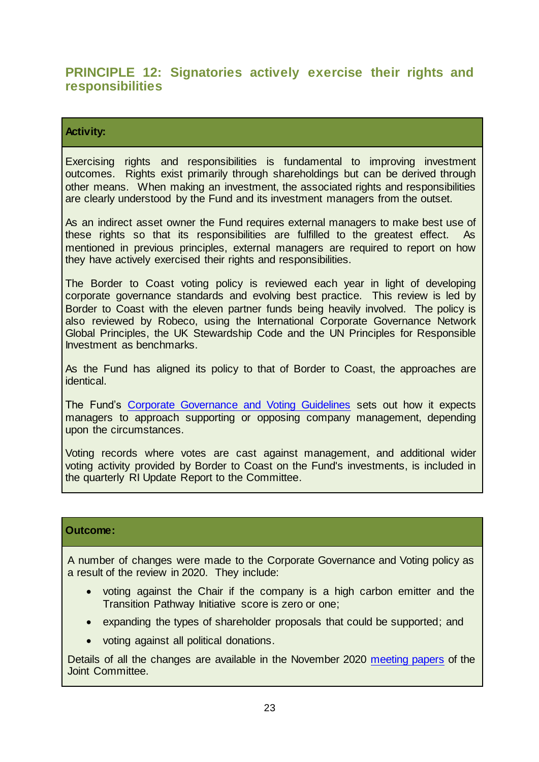### **PRINCIPLE 12: Signatories actively exercise their rights and responsibilities**

#### **Activity:**

Exercising rights and responsibilities is fundamental to improving investment outcomes. Rights exist primarily through shareholdings but can be derived through other means. When making an investment, the associated rights and responsibilities are clearly understood by the Fund and its investment managers from the outset.

As an indirect asset owner the Fund requires external managers to make best use of these rights so that its responsibilities are fulfilled to the greatest effect. As mentioned in previous principles, external managers are required to report on how they have actively exercised their rights and responsibilities.

The Border to Coast voting policy is reviewed each year in light of developing corporate governance standards and evolving best practice. This review is led by Border to Coast with the eleven partner funds being heavily involved. The policy is also reviewed by Robeco, using the International Corporate Governance Network Global Principles, the UK Stewardship Code and the UN Principles for Responsible Investment as benchmarks.

As the Fund has aligned its policy to that of Border to Coast, the approaches are identical.

The Fund's [Corporate Governance and Voting Guidelines](https://www.wypf.org.uk/media/3030/lpf-corporate-governance-voting-guidelines-2021.pdf) sets out how it expects managers to approach supporting or opposing company management, depending upon the circumstances.

Voting records where votes are cast against management, and additional wider voting activity provided by Border to Coast on the Fund's investments, is included in the quarterly RI Update Report to the Committee.

#### **Outcome:**

A number of changes were made to the Corporate Governance and Voting policy as a result of the review in 2020. They include:

- voting against the Chair if the company is a high carbon emitter and the Transition Pathway Initiative score is zero or one;
- expanding the types of shareholder proposals that could be supported; and
- voting against all political donations.

Details of all the changes are available in the November 2020 [meeting papers](http://meetings.southyorks.gov.uk/documents/s64421/Item%206i%202020%2011%2024%20JC%20-%20RI%20Policies%20covering%20paper%2014-11-20.pdf?zTS=E) of the Joint Committee.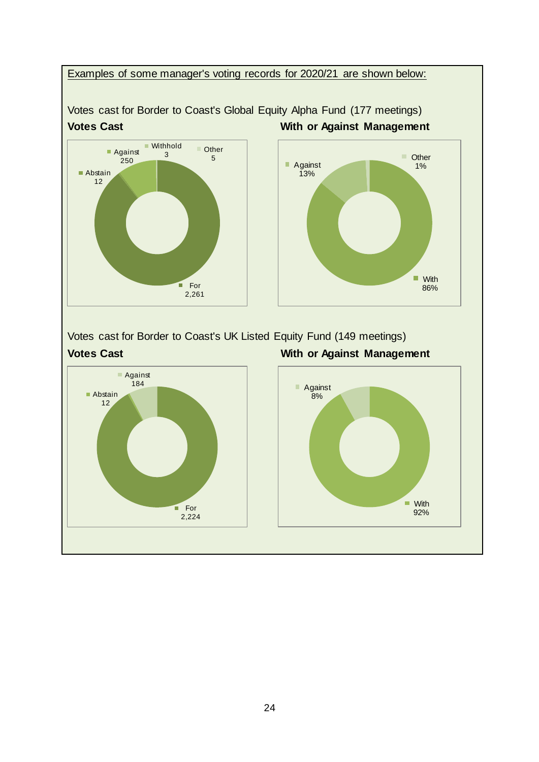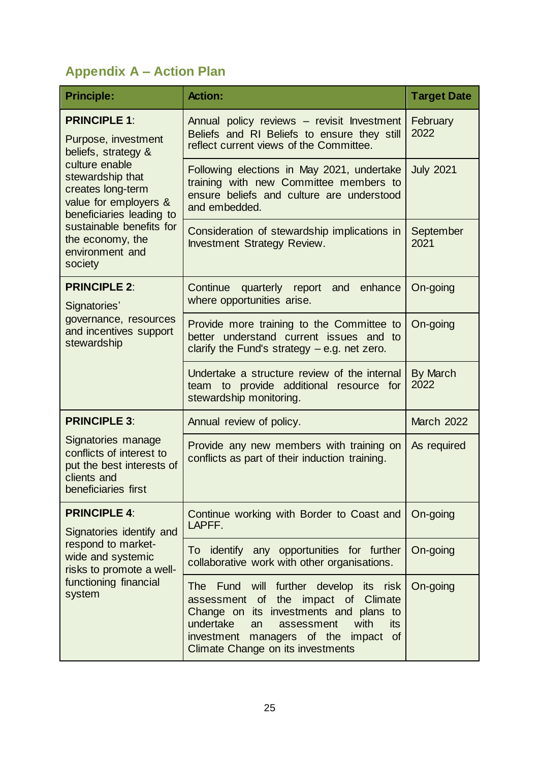# **Appendix A – Action Plan**

| <b>Principle:</b>                                                                                                                                                                                                                                               | <b>Action:</b>                                                                                                                                                                                                                                                      | <b>Target Date</b> |
|-----------------------------------------------------------------------------------------------------------------------------------------------------------------------------------------------------------------------------------------------------------------|---------------------------------------------------------------------------------------------------------------------------------------------------------------------------------------------------------------------------------------------------------------------|--------------------|
| <b>PRINCIPLE 1:</b><br>Purpose, investment<br>beliefs, strategy &<br>culture enable<br>stewardship that<br>creates long-term<br>value for employers &<br>beneficiaries leading to<br>sustainable benefits for<br>the economy, the<br>environment and<br>society | Annual policy reviews - revisit Investment<br>Beliefs and RI Beliefs to ensure they still<br>reflect current views of the Committee.                                                                                                                                | February<br>2022   |
|                                                                                                                                                                                                                                                                 | Following elections in May 2021, undertake<br>training with new Committee members to<br>ensure beliefs and culture are understood<br>and embedded.                                                                                                                  | <b>July 2021</b>   |
|                                                                                                                                                                                                                                                                 | Consideration of stewardship implications in<br><b>Investment Strategy Review.</b>                                                                                                                                                                                  | September<br>2021  |
| <b>PRINCIPLE 2:</b><br>Signatories'<br>governance, resources<br>and incentives support<br>stewardship                                                                                                                                                           | Continue<br>quarterly report and enhance<br>where opportunities arise.                                                                                                                                                                                              | On-going           |
|                                                                                                                                                                                                                                                                 | Provide more training to the Committee to<br>better understand current issues and to<br>clarify the Fund's strategy $-$ e.g. net zero.                                                                                                                              | On-going           |
|                                                                                                                                                                                                                                                                 | Undertake a structure review of the internal<br>team to provide additional resource for<br>stewardship monitoring.                                                                                                                                                  | By March<br>2022   |
| <b>PRINCIPLE 3:</b>                                                                                                                                                                                                                                             | Annual review of policy.                                                                                                                                                                                                                                            | <b>March 2022</b>  |
| Signatories manage<br>conflicts of interest to<br>put the best interests of<br>clients and<br>beneficiaries first                                                                                                                                               | Provide any new members with training on<br>conflicts as part of their induction training.                                                                                                                                                                          | As required        |
| <b>PRINCIPLE 4:</b><br>Signatories identify and<br>respond to market-<br>wide and systemic<br>risks to promote a well-<br>functioning financial<br>system                                                                                                       | Continue working with Border to Coast and<br>LAPFF.                                                                                                                                                                                                                 | On-going           |
|                                                                                                                                                                                                                                                                 | To identify any opportunities for further<br>collaborative work with other organisations.                                                                                                                                                                           | On-going           |
|                                                                                                                                                                                                                                                                 | The Fund will further develop its<br>risk<br>the<br>impact of Climate<br>assessment of<br>Change on its investments and plans to<br>undertake<br>with<br>assessment<br>its<br>an<br>investment<br>managers of the<br>impact of<br>Climate Change on its investments | On-going           |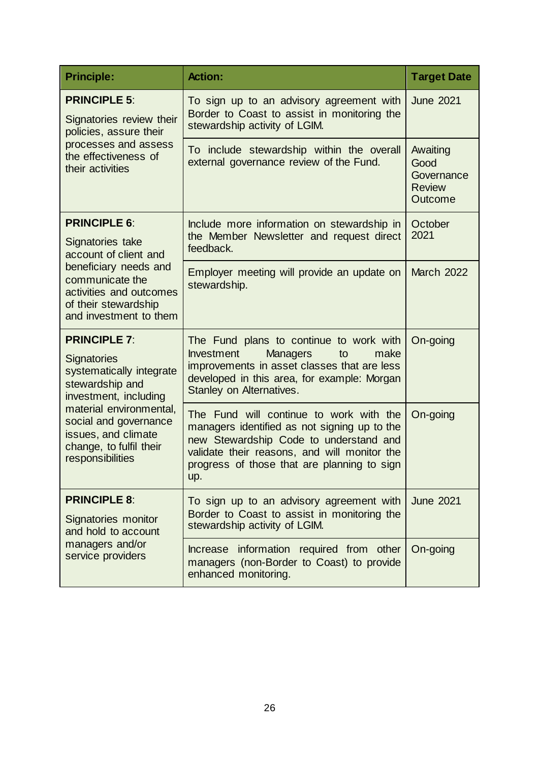| <b>Principle:</b>                                                                                                                                                                                                                           | <b>Action:</b>                                                                                                                                                                                                                          | <b>Target Date</b>                                         |
|---------------------------------------------------------------------------------------------------------------------------------------------------------------------------------------------------------------------------------------------|-----------------------------------------------------------------------------------------------------------------------------------------------------------------------------------------------------------------------------------------|------------------------------------------------------------|
| <b>PRINCIPLE 5:</b><br>Signatories review their<br>policies, assure their<br>processes and assess<br>the effectiveness of<br>their activities                                                                                               | To sign up to an advisory agreement with<br>Border to Coast to assist in monitoring the<br>stewardship activity of LGIM.                                                                                                                | <b>June 2021</b>                                           |
|                                                                                                                                                                                                                                             | To include stewardship within the overall<br>external governance review of the Fund.                                                                                                                                                    | Awaiting<br>Good<br>Governance<br><b>Review</b><br>Outcome |
| <b>PRINCIPLE 6:</b><br>Signatories take<br>account of client and<br>beneficiary needs and<br>communicate the<br>activities and outcomes<br>of their stewardship<br>and investment to them                                                   | Include more information on stewardship in<br>the Member Newsletter and request direct<br>feedback.                                                                                                                                     | October<br>2021                                            |
|                                                                                                                                                                                                                                             | Employer meeting will provide an update on<br>stewardship.                                                                                                                                                                              | <b>March 2022</b>                                          |
| <b>PRINCIPLE 7:</b><br><b>Signatories</b><br>systematically integrate<br>stewardship and<br>investment, including<br>material environmental,<br>social and governance<br>issues, and climate<br>change, to fulfil their<br>responsibilities | The Fund plans to continue to work with<br>Investment<br><b>Managers</b><br>make<br>to<br>improvements in asset classes that are less<br>developed in this area, for example: Morgan<br>Stanley on Alternatives.                        | On-going                                                   |
|                                                                                                                                                                                                                                             | The Fund will continue to work with the<br>managers identified as not signing up to the<br>new Stewardship Code to understand and<br>validate their reasons, and will monitor the<br>progress of those that are planning to sign<br>up. | On-going                                                   |
| <b>PRINCIPLE 8:</b><br>Signatories monitor<br>and hold to account<br>managers and/or<br>service providers                                                                                                                                   | To sign up to an advisory agreement with<br>Border to Coast to assist in monitoring the<br>stewardship activity of LGIM.                                                                                                                | <b>June 2021</b>                                           |
|                                                                                                                                                                                                                                             | Increase information required from other<br>managers (non-Border to Coast) to provide<br>enhanced monitoring.                                                                                                                           | On-going                                                   |